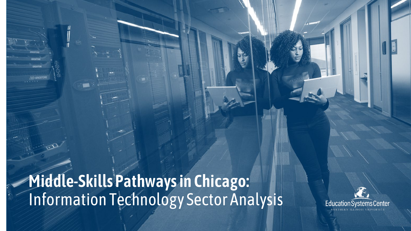**Middle-Skills Pathways in Chicago:**  Information Technology Sector Analysis

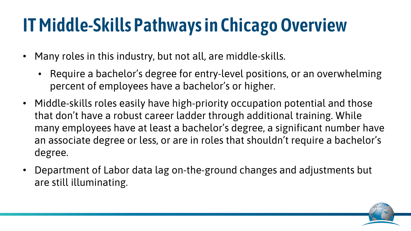## **IT Middle-Skills Pathways in Chicago Overview**

- Many roles in this industry, but not all, are middle-skills.
	- Require a bachelor's degree for entry-level positions, or an overwhelming percent of employees have a bachelor's or higher.
- Middle-skills roles easily have high-priority occupation potential and those that don't have a robust career ladder through additional training. While many employees have at least a bachelor's degree, a significant number have an associate degree or less, or are in roles that shouldn't require a bachelor's degree.
- Department of Labor data lag on-the-ground changes and adjustments but are still illuminating.

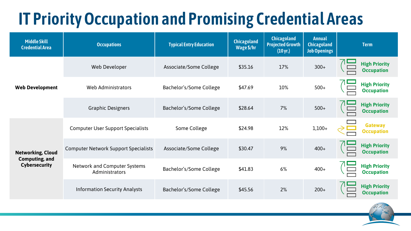## **IT Priority Occupation and Promising Credential Areas**

| <b>Middle Skill</b><br><b>Credential Area</b>                             | <b>Occupations</b>                                    | <b>Typical Entry Education</b> | <b>Chicagoland</b><br>Wage \$/hr | <b>Chicagoland</b><br><b>Projected Growth</b><br>$(10 \,\text{yr.})$ | <b>Annual</b><br><b>Chicagoland</b><br><b>Job Openings</b> | <b>Term</b>                               |
|---------------------------------------------------------------------------|-------------------------------------------------------|--------------------------------|----------------------------------|----------------------------------------------------------------------|------------------------------------------------------------|-------------------------------------------|
| <b>Web Development</b>                                                    | Web Developer                                         | Associate/Some College         | \$35.16                          | 17%                                                                  | $300+$                                                     | <b>High Priority</b><br><b>Occupation</b> |
|                                                                           | <b>Web Administrators</b>                             | Bachelor's/Some College        | \$47.69                          | 10%                                                                  | $500+$                                                     | <b>High Priority</b><br><b>Occupation</b> |
|                                                                           | <b>Graphic Designers</b>                              | Bachelor's/Some College        | \$28.64                          | 7%                                                                   | $500+$                                                     | <b>High Priority</b><br><b>Occupation</b> |
| <b>Networking, Cloud</b><br><b>Computing, and</b><br><b>Cybersecurity</b> | <b>Computer User Support Specialists</b>              | Some College                   | \$24.98                          | 12%                                                                  | $1,100+$                                                   | <b>Gateway</b><br><b>Occupation</b>       |
|                                                                           | <b>Computer Network Support Specialists</b>           | Associate/Some College         | \$30.47                          | 9%                                                                   | $400+$                                                     | <b>High Priority</b><br><b>Occupation</b> |
|                                                                           | <b>Network and Computer Systems</b><br>Administrators | Bachelor's/Some College        | \$41.83                          | 6%                                                                   | $400+$                                                     | <b>High Priority</b><br><b>Occupation</b> |
|                                                                           | <b>Information Security Analysts</b>                  | Bachelor's/Some College        | \$45.56                          | 2%                                                                   | $200+$                                                     | <b>High Priority</b><br><b>Occupation</b> |

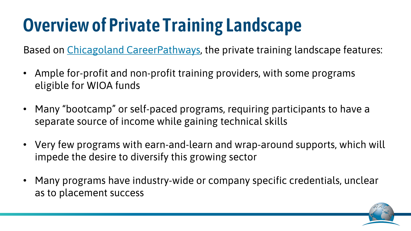## **Overview of Private Training Landscape**

Based on [Chicagoland CareerPathways,](https://www.careerpathways.net/) the private training landscape features:

- Ample for-profit and non-profit training providers, with some programs eligible for WIOA funds
- Many "bootcamp" or self-paced programs, requiring participants to have a separate source of income while gaining technical skills
- Very few programs with earn-and-learn and wrap-around supports, which will impede the desire to diversify this growing sector
- Many programs have industry-wide or company specific credentials, unclear as to placement success

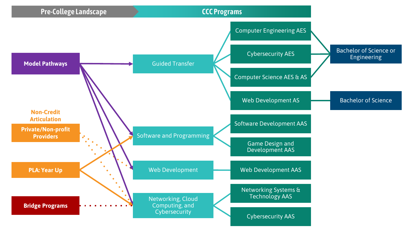